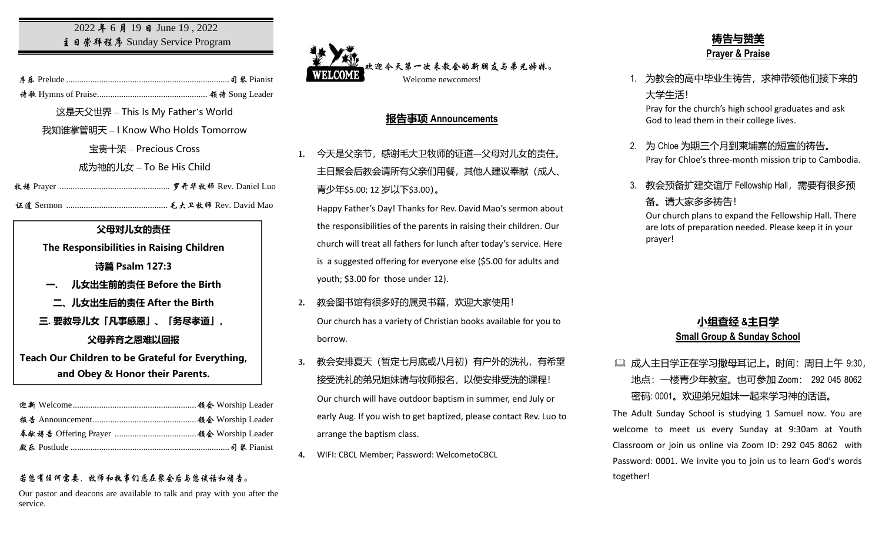### 2022 年 6 月 19 日 June 19, 2022 主日崇拜程序 Sunday Service Program

序乐 Prelude ..........................................................................司琴 Pianist

诗歌 Hymns of Praise.................................................. 领诗 Song Leader

这是天父世界 – This Is My Father's World

我知谁掌管明天 – I Know Who Holds Tomorrow

宝贵十架 – Precious Cross

成为祂的儿女 – To Be His Child

牧祷 Prayer .................................................. 罗开华牧师 Rev. Daniel Luo

证道 Sermon .............................................. 毛大卫牧师 Rev. David Mao

#### **父母对儿女的责任**

**The Responsibilities in Raising Children** 

**诗篇 Psalm 127:3**

- **一. 儿女出生前的责任 Before the Birth**
- **二、儿女出生后的责任 After the Birth**

**三. 要教导儿女「凡事感恩」、「务尽孝道」,**

**父母养育之恩难以回报**

**Teach Our Children to be Grateful for Everything, and Obey & Honor their Parents.**

### 若您有任何需要,牧师和执事们愿在聚会后与您谈话和祷告。

Our pastor and deacons are available to talk and pray with you after the service.



## **报告事项 Announcements**

1. 今天是父亲节, 感谢毛大卫牧师的证道---父母对儿女的责任。 主日聚会后教会请所有父亲们用餐,其他人建议奉献(成人、 青少年\$5.00; 12 岁以下\$3.00)。

Happy Father's Day! Thanks for Rev. David Mao's sermon about the responsibilities of the parents in raising their children. Our church will treat all fathers for lunch after today's service. Here is a suggested offering for everyone else (\$5.00 for adults and youth; \$3.00 for those under 12).

- **2.** 教会图书馆有很多好的属灵书籍,欢迎大家使用! Our church has a variety of Christian books available for you to borrow.
- **3.** 教会安排夏天(暂定七月底或八月初)有户外的洗礼,有希望 接受洗礼的弟兄姐妹请与牧师报名, 以便安排受洗的课程! Our church will have outdoor baptism in summer, end July or early Aug. If you wish to get baptized, please contact Rev. Luo to arrange the baptism class.
- **4.** WIFI: CBCL Member; Password: WelcometoCBCL

# **祷告与赞美 Prayer & Praise**

1. 为教会的高中毕业生祷告,求神带领他们接下来的 大学生活!

Pray for the church's high school graduates and ask God to lead them in their college lives.

- 2. 为 Chloe 为期三个月到柬埔寨的短宣的祷告。 Pray for Chloe's three-month mission trip to Cambodia.
- 3. 教会预备扩建交谊厅 Fellowship Hall,需要有很多预 备。请大家多多祷告!

Our church plans to expand the Fellowship Hall. There are lots of preparation needed. Please keep it in your prayer!

### **小组查经 &主日学 Small Group & Sunday School**

# 成人主日学正在学习撒母耳记上。时间:周日上午 9:30, 地点:一楼青少年教室。也可参加 Zoom: 292 045 8062 密码: 0001。欢迎弟兄姐妹一起来学习神的话语。

The Adult Sunday School is studying 1 Samuel now. You are welcome to meet us every Sunday at 9:30am at Youth Classroom or join us online via Zoom ID: 292 045 8062 with Password: 0001. We invite you to join us to learn God's words together!